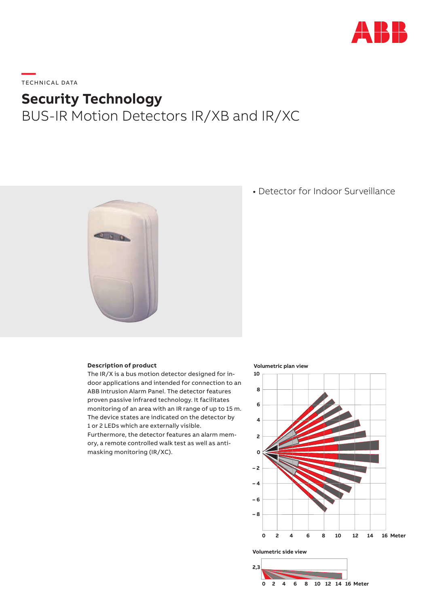

# **—**  TECHNICAL DATA

## **Security Technology**

### BUS-IR Motion Detectors IR/XB and IR/XC



### • Detector for Indoor Surveillance

#### **Description of product**

The IR/X is a bus motion detector designed for indoor applications and intended for connection to an ABB Intrusion Alarm Panel. The detector features proven passive infrared technology. It facilitates monitoring of an area with an IR range of up to 15 m. The device states are indicated on the detector by 1 or 2 LEDs which are externally visible.

Furthermore, the detector features an alarm memory, a remote controlled walk test as well as antimasking monitoring (IR/XC).

#### **Volumetric plan view**



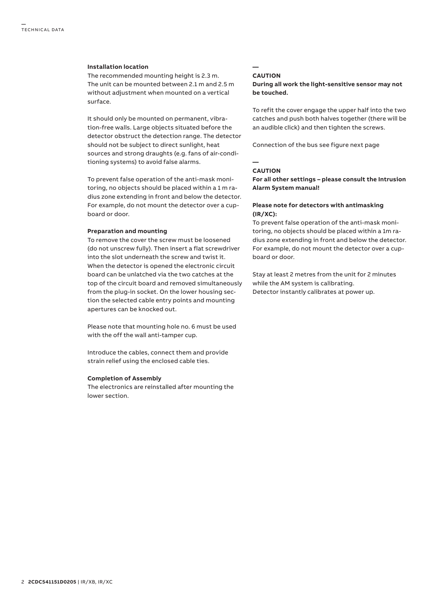#### **Installation location**

The recommended mounting height is 2.3 m. The unit can be mounted between 2.1 m and 2.5 m without adjustment when mounted on a vertical surface.

It should only be mounted on permanent, vibration-free walls. Large objects situated before the detector obstruct the detection range. The detector should not be subject to direct sunlight, heat sources and strong draughts (e.g. fans of air-conditioning systems) to avoid false alarms.

To prevent false operation of the anti-mask monitoring, no objects should be placed within a 1 m radius zone extending in front and below the detector. For example, do not mount the detector over a cupboard or door.

#### **Preparation and mounting**

To remove the cover the screw must be loosened (do not unscrew fully). Then insert a flat screwdriver into the slot underneath the screw and twist it. When the detector is opened the electronic circuit board can be unlatched via the two catches at the top of the circuit board and removed simultaneously from the plug-in socket. On the lower housing section the selected cable entry points and mounting apertures can be knocked out.

Please note that mounting hole no. 6 must be used with the off the wall anti-tamper cup.

Introduce the cables, connect them and provide strain relief using the enclosed cable ties.

#### **Completion of Assembly**

The electronics are reinstalled after mounting the lower section.

#### **CAUTION**

**—**

**During all work the light-sensitive sensor may not be touched.**

To refit the cover engage the upper half into the two catches and push both halves together (there will be an audible click) and then tighten the screws.

Connection of the bus see figure next page

#### **CAUTION**

**—**

**For all other settings – please consult the Intrusion Alarm System manual!**

#### **Please note for detectors with antimasking (IR/XC):**

To prevent false operation of the anti-mask monitoring, no objects should be placed within a 1m radius zone extending in front and below the detector. For example, do not mount the detector over a cupboard or door.

Stay at least 2 metres from the unit for 2 minutes while the AM system is calibrating. Detector instantly calibrates at power up.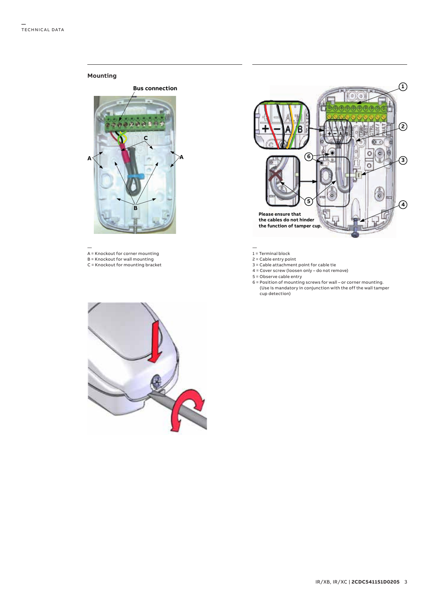#### **Mounting**



— A = Knockout for corner mounting

- B = Knockout for wall mounting
- C = Knockout for mounting bracket



1 = Terminal block

- 2 = Cable entry point
- 3 = Cable attachment point for cable tie
- 4 = Cover screw (loosen only do not remove)
- 5 = Observe cable entry
- 6 = Position of mounting screws for wall or corner mounting. (Use is mandatory in conjunction with the off the wall tamper cup detection)

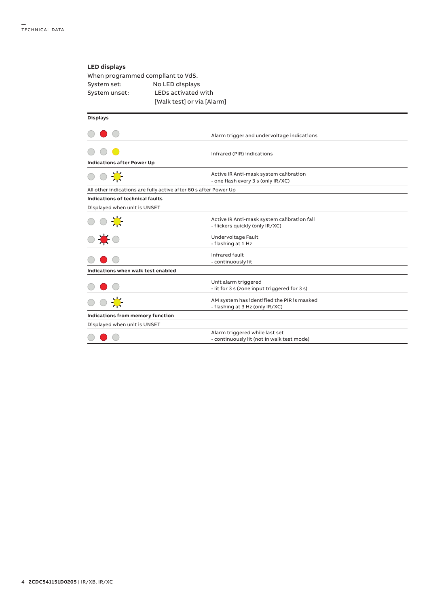### **LED displays**

When programmed compliant to VdS. System set: No LED displays System unset: LEDs activated with [Walk test] or via [Alarm]

| <b>Displays</b>                                                  |                                              |  |  |
|------------------------------------------------------------------|----------------------------------------------|--|--|
|                                                                  |                                              |  |  |
|                                                                  | Alarm trigger and undervoltage indications   |  |  |
|                                                                  |                                              |  |  |
|                                                                  | Infrared (PIR) indications                   |  |  |
| <b>Indications after Power Up</b>                                |                                              |  |  |
|                                                                  | Active IR Anti-mask system calibration       |  |  |
|                                                                  | - one flash every 3 s (only IR/XC)           |  |  |
| All other indications are fully active after 60 s after Power Up |                                              |  |  |
| Indications of technical faults                                  |                                              |  |  |
| Displayed when unit is UNSET                                     |                                              |  |  |
|                                                                  | Active IR Anti-mask system calibration fail  |  |  |
|                                                                  | - flickers quickly (only IR/XC)              |  |  |
| ○菜<br>● ★○                                                       | Undervoltage Fault                           |  |  |
|                                                                  | - flashing at 1 Hz                           |  |  |
|                                                                  | Infrared fault                               |  |  |
|                                                                  | - continuously lit                           |  |  |
| Indications when walk test enabled                               |                                              |  |  |
|                                                                  | Unit alarm triggered                         |  |  |
|                                                                  | - lit for 3 s (zone input triggered for 3 s) |  |  |
|                                                                  | AM system has identified the PIR is masked   |  |  |
|                                                                  | - flashing at 3 Hz (only IR/XC)              |  |  |
| Indications from memory function                                 |                                              |  |  |
| Displayed when unit is UNSET                                     |                                              |  |  |
|                                                                  | Alarm triggered while last set               |  |  |
|                                                                  | - continuously lit (not in walk test mode)   |  |  |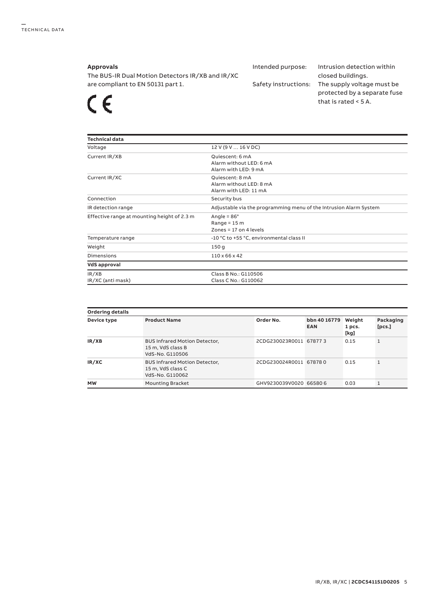#### **Approvals**

The BUS-IR Dual Motion Detectors IR/XB and IR/XC are compliant to EN 50131 part 1.

 $\epsilon$ 

Intended purpose: Intrusion detection within

closed buildings. Safety instructions: The supply voltage must be protected by a separate fuse that is rated < 5 A.

| <b>Technical data</b>                       |                                                                          |
|---------------------------------------------|--------------------------------------------------------------------------|
| Voltage                                     | 12 V (9 V  16 V DC)                                                      |
| Current IR/XB                               | Quiescent: 6 mA<br>Alarm without LED: 6 mA<br>Alarm with LED: 9 mA       |
| Current IR/XC                               | Quiescent: 8 mA<br>Alarm without LED: 8 mA<br>Alarm with LED: 11 mA      |
| Connection                                  | Security bus                                                             |
| IR detection range                          | Adjustable via the programming menu of the Intrusion Alarm System        |
| Effective range at mounting height of 2.3 m | Angle = $86^\circ$<br>Range = $15 \text{ m}$<br>Zones = $17$ on 4 levels |
| Temperature range                           | -10 °C to +55 °C, environmental class II                                 |
| Weight                                      | 150q                                                                     |
| Dimensions                                  | $110 \times 66 \times 42$                                                |
| VdS approval                                |                                                                          |
| IR/XB<br>IR/XC (anti mask)                  | Class B No.: G110506<br>Class C No.: G110062                             |

| <b>Ordering details</b> |                                                                              |                        |                            |                          |                     |
|-------------------------|------------------------------------------------------------------------------|------------------------|----------------------------|--------------------------|---------------------|
| Device type             | <b>Product Name</b>                                                          | Order No.              | bbn 40 16779<br><b>EAN</b> | Weight<br>1 pcs.<br>[kg] | Packaging<br>[pcs.] |
| IR/XB                   | <b>BUS Infrared Motion Detector,</b><br>15 m, VdS class B<br>VdS-No. G110506 | 2CDG230023R0011 678773 |                            | 0.15                     |                     |
| IR/XC                   | <b>BUS Infrared Motion Detector,</b><br>15 m, VdS class C<br>VdS-No. G110062 | 2CDG230024R0011 678780 |                            | 0.15                     |                     |
| <b>MW</b>               | <b>Mounting Bracket</b>                                                      | GHV9230039V0020 665806 |                            | 0.03                     |                     |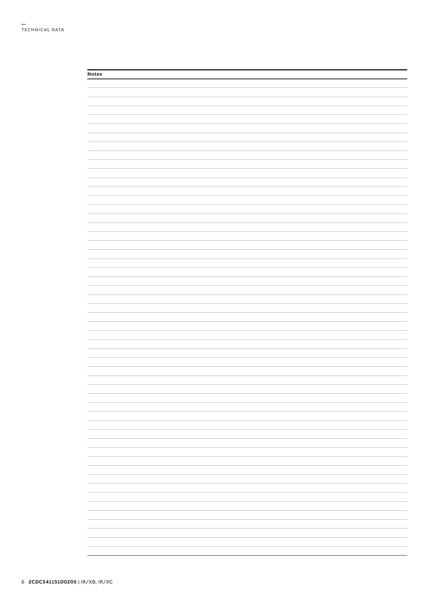| <b>Notes</b> |                          |
|--------------|--------------------------|
|              |                          |
|              |                          |
|              |                          |
|              |                          |
|              |                          |
|              |                          |
|              |                          |
|              |                          |
|              |                          |
|              |                          |
|              |                          |
|              |                          |
|              |                          |
|              |                          |
|              |                          |
|              |                          |
|              |                          |
|              |                          |
|              |                          |
|              |                          |
|              |                          |
|              |                          |
|              |                          |
|              |                          |
|              |                          |
|              |                          |
|              |                          |
|              |                          |
|              |                          |
|              |                          |
|              |                          |
|              |                          |
|              |                          |
|              |                          |
|              |                          |
|              |                          |
|              |                          |
|              |                          |
|              |                          |
|              |                          |
|              |                          |
|              |                          |
|              |                          |
|              |                          |
|              |                          |
|              |                          |
|              |                          |
|              | $\overline{\phantom{a}}$ |
|              |                          |
|              |                          |
|              |                          |
|              |                          |
|              |                          |
|              |                          |
|              |                          |
|              |                          |
|              |                          |
|              |                          |
|              |                          |
|              |                          |
|              |                          |
|              |                          |
|              |                          |
|              | -                        |
|              |                          |
|              |                          |
|              |                          |
|              |                          |
|              |                          |
|              |                          |
|              | -                        |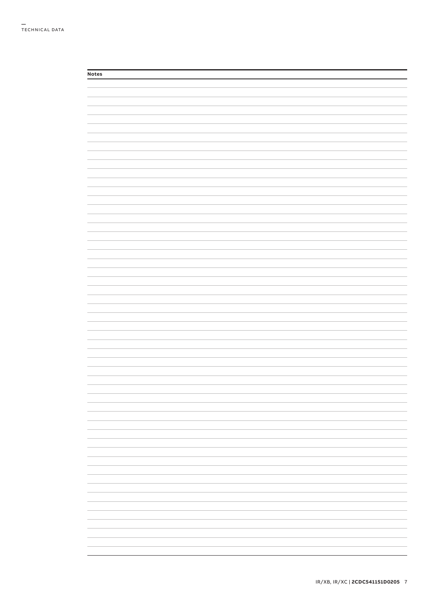| <b>Notes</b> |  |  |
|--------------|--|--|
|              |  |  |
|              |  |  |
|              |  |  |
|              |  |  |
|              |  |  |
|              |  |  |
|              |  |  |
|              |  |  |
|              |  |  |
|              |  |  |
|              |  |  |
|              |  |  |
|              |  |  |
|              |  |  |
|              |  |  |
|              |  |  |
|              |  |  |
|              |  |  |
|              |  |  |
|              |  |  |
|              |  |  |
|              |  |  |
|              |  |  |
|              |  |  |
|              |  |  |
|              |  |  |
|              |  |  |
|              |  |  |
|              |  |  |
|              |  |  |
|              |  |  |
|              |  |  |
|              |  |  |
|              |  |  |
|              |  |  |
|              |  |  |
|              |  |  |
|              |  |  |
|              |  |  |
|              |  |  |
|              |  |  |
|              |  |  |
|              |  |  |
|              |  |  |
|              |  |  |
|              |  |  |
|              |  |  |
|              |  |  |
|              |  |  |
|              |  |  |
|              |  |  |
|              |  |  |
|              |  |  |
|              |  |  |
|              |  |  |
|              |  |  |
|              |  |  |
|              |  |  |